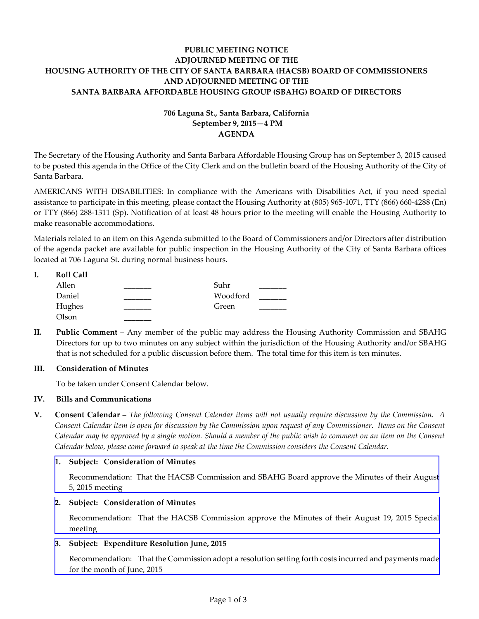## **PUBLIC MEETING NOTICE ADJOURNED MEETING OF THE HOUSING AUTHORITY OF THE CITY OF SANTA BARBARA (HACSB) BOARD OF COMMISSIONERS AND ADJOURNED MEETING OF THE SANTA BARBARA AFFORDABLE HOUSING GROUP (SBAHG) BOARD OF DIRECTORS**

# **706 Laguna St., Santa Barbara, California September 9, 2015—4 PM AGENDA**

The Secretary of the Housing Authority and Santa Barbara Affordable Housing Group has on September 3, 2015 caused to be posted this agenda in the Office of the City Clerk and on the bulletin board of the Housing Authority of the City of Santa Barbara.

AMERICANS WITH DISABILITIES: In compliance with the Americans with Disabilities Act, if you need special assistance to participate in this meeting, please contact the Housing Authority at (805) 965-1071, TTY (866) 660-4288 (En) or TTY (866) 288-1311 (Sp). Notification of at least 48 hours prior to the meeting will enable the Housing Authority to make reasonable accommodations.

Materials related to an item on this Agenda submitted to the Board of Commissioners and/or Directors after distribution of the agenda packet are available for public inspection in the Housing Authority of the City of Santa Barbara offices located at 706 Laguna St. during normal business hours.

| <b>Roll Call</b> |          |  |
|------------------|----------|--|
| Allen            | Suhr     |  |
| Daniel           | Woodford |  |
| Hughes           | Green    |  |
| Olson            |          |  |

**II. Public Comment** – Any member of the public may address the Housing Authority Commission and SBAHG Directors for up to two minutes on any subject within the jurisdiction of the Housing Authority and/or SBAHG that is not scheduled for a public discussion before them. The total time for this item is ten minutes.

## **III. Consideration of Minutes**

To be taken under Consent Calendar below.

## **IV. Bills and Communications**

**V. Consent Calendar** – *The following Consent Calendar items will not usually require discussion by the Commission. A Consent Calendar item is open for discussion by the Commission upon request of any Commissioner. Items on the Consent Calendar may be approved by a single motion. Should a member of the public wish to comment on an item on the Consent Calendar below, please come forward to speak at the time the Commission considers the Consent Calendar.*

#### **1. Subject: Consideration of Minutes**

[Recommendation: That the HACSB Commission and SBAHG Board approve the Minutes of their August](http://hacsb.org/download/meetings-2015/items/september/item_V_I_2015_09_09.pdf) 5, 2015 meeting

#### **2. Subject: Consideration of Minutes**

[Recommendation: That the HACSB Commission approve the Minutes of their August 19, 2015 Special](http://hacsb.org/download/meetings-2015/items/september/item_V_II_2015_09_09.pdf)  meeting

## **3. Subject: Expenditure Resolution June, 2015**

[Recommendation: That the Commission adopt a resolution setting forth costs incurred and payments made](http://hacsb.org/download/meetings-2015/items/september/item_V_III_2015_09_09.pdf) for the month of June, 2015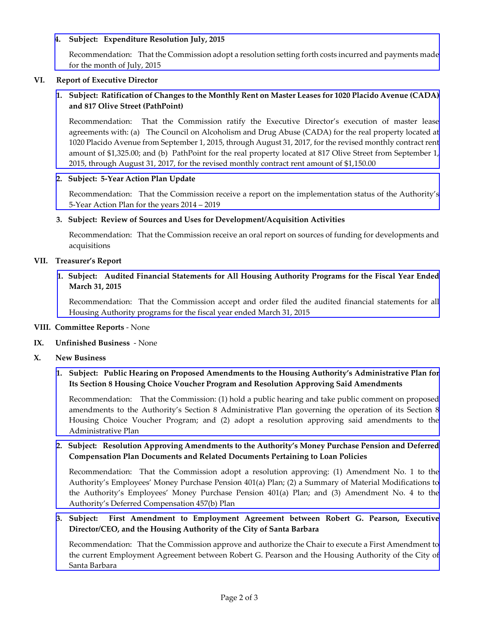## **4. Subject: Expenditure Resolution July, 2015**

[Recommendation: That the Commission adopt a resolution setting forth costs incurred and payments made](http://hacsb.org/download/meetings-2015/items/september/item_V_IV_2015_09_09.pdf) for the month of July, 2015

### **VI. Report of Executive Director**

## **1. Subject: Ratification of Changes to the Monthly Rent on Master Leases for 1020 Placido Avenue (CADA) and 817 Olive Street (PathPoint)**

Recommendation: That the Commission ratify the Executive Director's execution of master lease agreements with: (a) The Council on Alcoholism and Drug Abuse (CADA) for the real property located at [1020 Placido Avenue from September 1, 2015, through August 31, 2017, for the revised monthly contract rent](http://hacsb.org/download/meetings-2015/items/september/item_VI_I_2015_09_09.pdf)  amount of \$1,325.00; and (b) PathPoint for the real property located at 817 Olive Street from September 1, 2015, through August 31, 2017, for the revised monthly contract rent amount of \$1,150.00

#### **2. Subject: 5-Year Action Plan Update**

[Recommendation: That the Commission receive a](http://hacsb.org/download/meetings-2015/items/september/item_VI_II_2015_09_09.pdf) report on the implementation status of the Authority's 5-Year Action Plan for the years 2014 – 2019

#### **3. Subject: Review of Sources and Uses for Development/Acquisition Activities**

Recommendation: That the Commission receive an oral report on sources of funding for developments and acquisitions

#### **VII. Treasurer's Report**

## **[1. Subject: Audited Financial Statements for All Housing Authority Programs for the Fiscal Year Ended](http://hacsb.org/download/meetings-2015/items/september/item_VII_I_2015_09_09.pdf)  March 31, 2015**

Recommendation: That the Commission accept and order filed the audited financial statements for all Housing Authority programs for the fiscal year ended March 31, 2015

#### **VIII. Committee Reports** - None

## **IX. Unfinished Business** - None

#### **X. New Business**

## **[1. Subject: Public Hearing on Proposed Amendments to the Housing Authority's Administrative Plan for](http://hacsb.org/download/meetings-2015/items/september/item_X_I_2015_09_09.pdf)  Its Section 8 Housing Choice Voucher Program and Resolution Approving Said Amendments**

Recommendation: That the Commission: (1) hold a public hearing and take public comment on proposed amendments to the Authority's Section 8 Administrative Plan governing the operation of its Section 8 Housing Choice Voucher Program; and (2) adopt a resolution approving said amendments to the Administrative Plan

## **[2. Subject: Resolution Approving Amendments to the Authority's Money Purchase Pension and Deferred](http://hacsb.org/download/meetings-2015/items/september/item_X_II_2015_09_09.pdf)  Compensation Plan Documents and Related Documents Pertaining to Loan Policies**

Recommendation: That the Commission adopt a resolution approving: (1) Amendment No. 1 to the Authority's Employees' Money Purchase Pension 401(a) Plan; (2) a Summary of Material Modifications to the Authority's Employees' Money Purchase Pension 401(a) Plan; and (3) Amendment No. 4 to the Authority's Deferred Compensation 457(b) Plan

## **[3. Subject: First Amendment to Employment Agreement between Robert G. Pearson, Executive](http://hacsb.org/download/meetings-2015/items/september/item_X_III_2015_09_09.pdf)  Director/CEO, and the Housing Authority of the City of Santa Barbara**

Recommendation: That the Commission approve and authorize the Chair to execute a First Amendment to the current Employment Agreement between Robert G. Pearson and the Housing Authority of the City of Santa Barbara